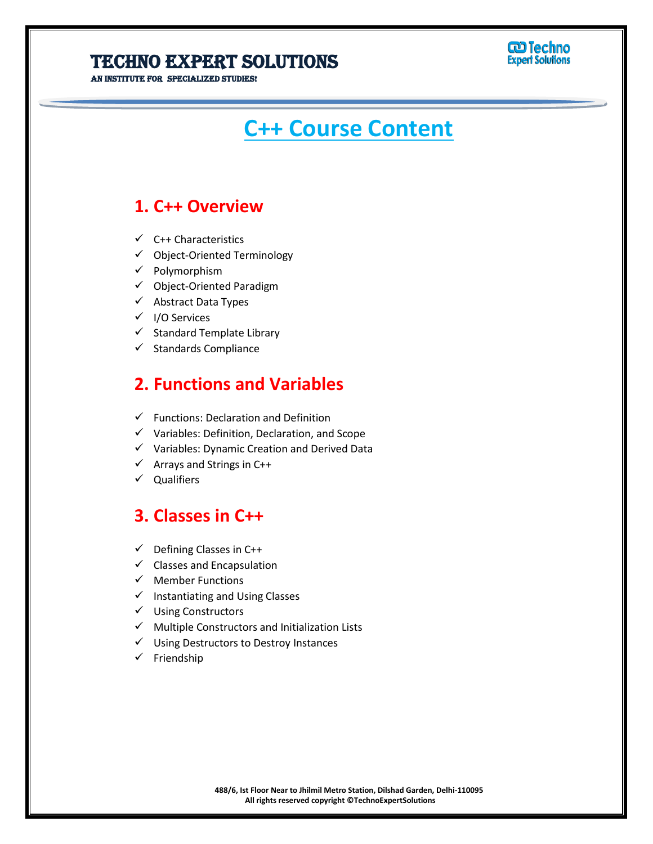**STITUTE FOR SPECIALIZED STUDIES!** 

# **CD** Techno<br>Expert Solutions

# **C++ Course Content**

### **1. C++ Overview**

- ✓ C++ Characteristics
- ✓ Object-Oriented Terminology
- ✓ Polymorphism
- ✓ Object-Oriented Paradigm
- ✓ Abstract Data Types
- ✓ I/O Services
- ✓ Standard Template Library
- $\checkmark$  Standards Compliance

#### **2. Functions and Variables**

- $\checkmark$  Functions: Declaration and Definition
- ✓ Variables: Definition, Declaration, and Scope
- ✓ Variables: Dynamic Creation and Derived Data
- $\checkmark$  Arrays and Strings in C++
- ✓ Qualifiers

#### **3. Classes in C++**

- $\checkmark$  Defining Classes in C++
- $\checkmark$  Classes and Encapsulation
- ✓ Member Functions
- ✓ Instantiating and Using Classes
- ✓ Using Constructors
- $\checkmark$  Multiple Constructors and Initialization Lists
- ✓ Using Destructors to Destroy Instances
- ✓ Friendship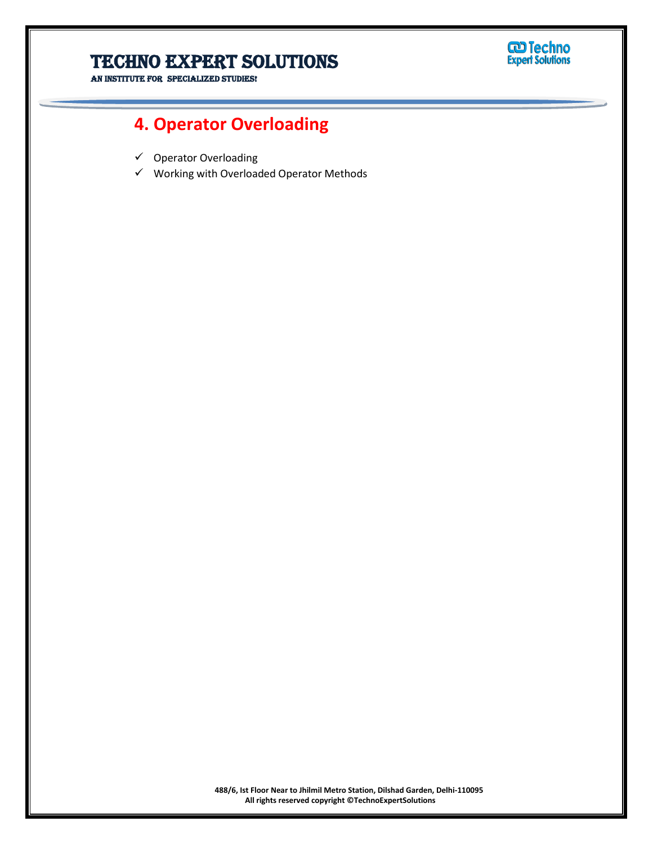

AN INSTITUTE FOR SPECIALIZED STUDIES!

### **4. Operator Overloading**

- ✓ Operator Overloading
- ✓ Working with Overloaded Operator Methods

**488/6, Ist Floor Near to Jhilmil Metro Station, Dilshad Garden, Delhi-110095 All rights reserved copyright ©TechnoExpertSolutions**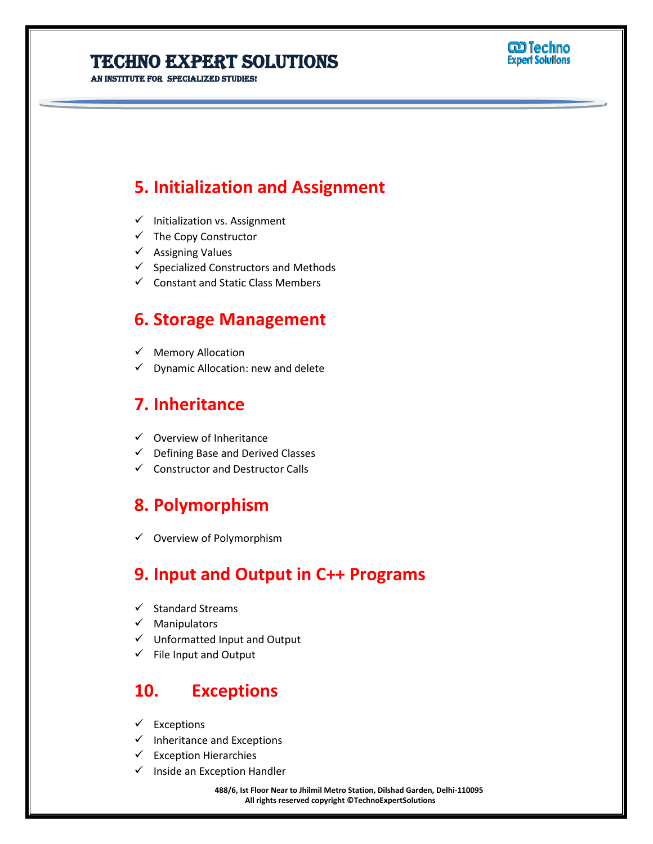**STITUTE FOR SPECIALIZED STUDIES!** 



#### **5. Initialization and Assignment**

- ✓ Initialization vs. Assignment
- ✓ The Copy Constructor
- ✓ Assigning Values
- ✓ Specialized Constructors and Methods
- ✓ Constant and Static Class Members

#### **6. Storage Management**

- ✓ Memory Allocation
- Dynamic Allocation: new and delete

#### **7. Inheritance**

- ✓ Overview of Inheritance
- Defining Base and Derived Classes
- ✓ Constructor and Destructor Calls

#### **8. Polymorphism**

✓ Overview of Polymorphism

### **9. Input and Output in C++ Programs**

- ✓ Standard Streams
- ✓ Manipulators
- ✓ Unformatted Input and Output
- $\checkmark$  File Input and Output

#### **10. Exceptions**

- $\checkmark$  Exceptions
- ✓ Inheritance and Exceptions
- $\checkmark$  Exception Hierarchies
- Inside an Exception Handler

#### **488/6, Ist Floor Near to Jhilmil Metro Station, Dilshad Garden, Delhi-110095 All rights reserved copyright ©TechnoExpertSolutions**